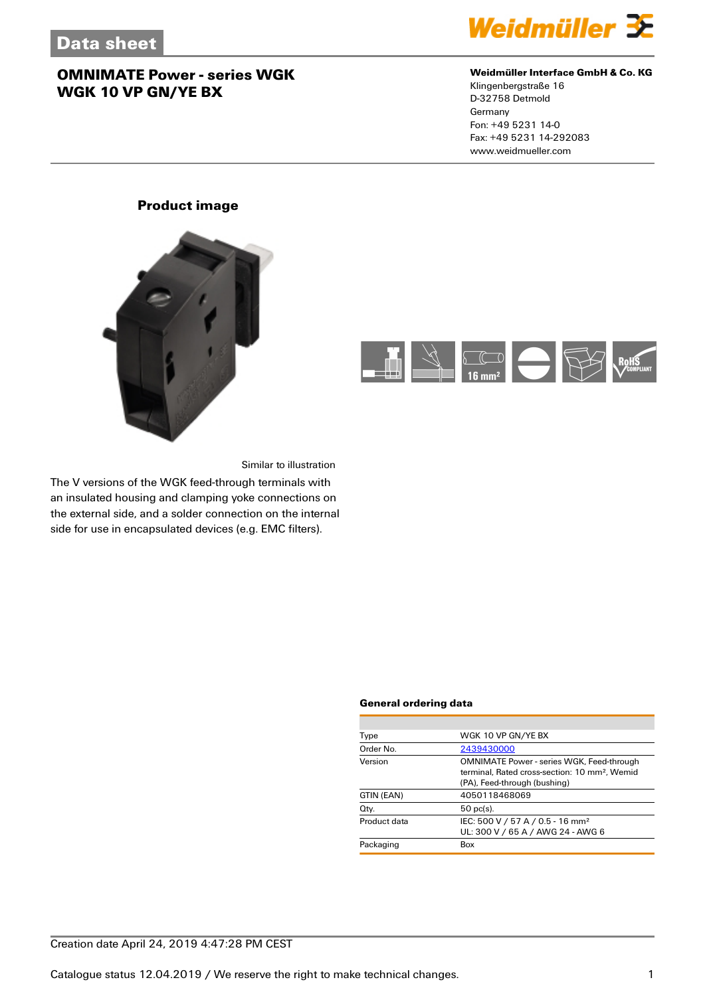

#### **Weidmüller Interface GmbH & Co. KG**

Klingenbergstraße 16 D-32758 Detmold Germany Fon: +49 5231 14-0 Fax: +49 5231 14-292083 www.weidmueller.com

### **Product image**





Similar to illustration

The V versions of the WGK feed-through terminals with an insulated housing and clamping yoke connections on the external side, and a solder connection on the internal side for use in encapsulated devices (e.g. EMC filters).

#### **General ordering data**

| Type         | WGK 10 VP GN/YE BX                                                                                                                            |
|--------------|-----------------------------------------------------------------------------------------------------------------------------------------------|
| Order No.    | 2439430000                                                                                                                                    |
| Version      | <b>OMNIMATE Power - series WGK, Feed-through</b><br>terminal. Rated cross-section: 10 mm <sup>2</sup> . Wemid<br>(PA), Feed-through (bushing) |
| GTIN (EAN)   | 4050118468069                                                                                                                                 |
| Qty.         | $50$ pc(s).                                                                                                                                   |
| Product data | IEC: 500 V / 57 A / 0.5 - 16 mm <sup>2</sup><br>UL: 300 V / 65 A / AWG 24 - AWG 6                                                             |
| Packaging    | Box                                                                                                                                           |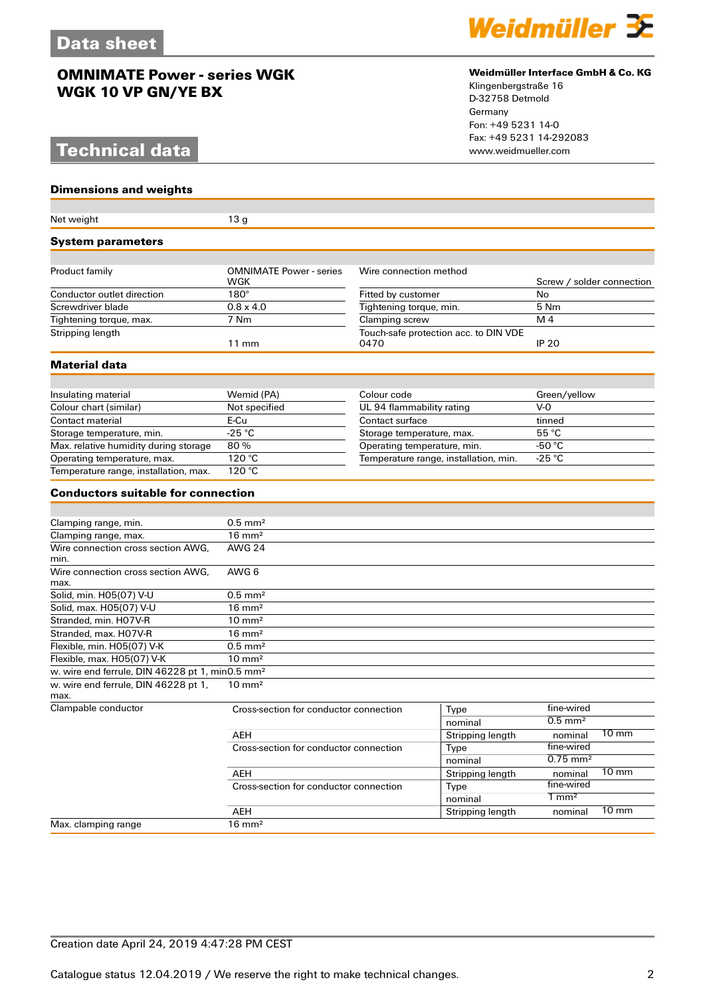# **Technical data** www.weidmueller.com

#### **Dimensions and weights**

#### Net weight 13 g **System parameters** Product family **COMNIMATE Power - series** WGK Wire connection method Screw / solder connection Conductor outlet direction 180° Fitted by customer No<br>
Screwdriver blade 0.8 x 4.0<br>
Tightening torque, min. 5 Nm Screwdriver blade 0.8 x 4.0 Tightening torque, min. 5 Nm Tightening torque, max. **Stripping length** 11 mm Touch-safe protection acc. to DIN VDE<br>0470 0470 **IP 20 Material data** Insulating material Wemid (PA) Colour code Green/yellow<br>
Colour chart (similar) Not specified UL 94 flammability rating V-0 Colour chart (similar) Not specified UL 94 flammability rating Contact material E-Cu E-Cu Contact surface tinned<br>Storage temperature, min. 25 °C Contact surface 55 °C Storage temperature, min.  $-25 \text{ °C}$ <br>
Max. relative humidity during storage 80 %<br>  $\overline{36} \text{ °C}$ <br>
Storage temperature, max.  $55 \text{ °C}$ <br>
Operating temperature, min.  $-50 \text{ °C}$ Max. relative humidity during storage 80 % Operating temperature, min. 450 °C<br>
Operating temperature, max. 120 °C<br>
Temperature range, installation, min. 425 °C Operature range, installation, min. Temperature range, installation, min. -25 °C Temperature range, installation, max. **Conductors suitable for connection** Clamping range, min. 6.5 mm<sup>2</sup> Clamping range, max. 16 mm<sup>2</sup> Wire connection cross section AWG, min. AWG 24 Wire connection cross section AWG, max. AWG 6 Solid, min. H05(07) V-U 0.5 mm<sup>2</sup> Solid, max. H05(07) V-U 16 mm<sup>2</sup> Stranded, min. H07V-R 10 mm<sup>2</sup> Stranded, max. H07V-R 16 mm<sup>2</sup> Flexible, min.  $H05(07)$  V-K  $0.5$  mm<sup>2</sup> Flexible, max.  $H05(07)$  V-K 10 mm<sup>2</sup> w. wire end ferrule, DIN 46228 pt 1, min0.5 mm² w. wire end ferrule, DIN 46228 pt 1, max.<br>Clampable conductor 10 mm² Cross-section for conductor connection  $\overline{Type}$  fine-wired fine-wired for conductor connection  $\overline{O.5}$  mm<sup>2</sup> nominal AEH Stripping length nominal 10 mm<br>Cross-section for conductor connection Type fine-wired Cross-section for conductor connection Type fine-wired<br>nominal 0.75 mm<sup>2</sup> nominal AEH Stripping length nominal 10 mm Cross-section for conductor connection<br>
Type  $\frac{1}{2}$ Type  $\frac{1}{2}$ Type  $\frac{1}{2}$ Type  $\frac{1}{2}$ Type  $\frac{1}{2}$ nominal 1 mm<sup>2</sup><br>Stripping length nominal AEH Stripping length nominal 10 mm Max. clamping range 16 mm<sup>2</sup>



#### **Weidmüller Interface GmbH & Co. KG**

Klingenbergstraße 16 D-32758 Detmold Germany Fon: +49 5231 14-0 Fax: +49 5231 14-292083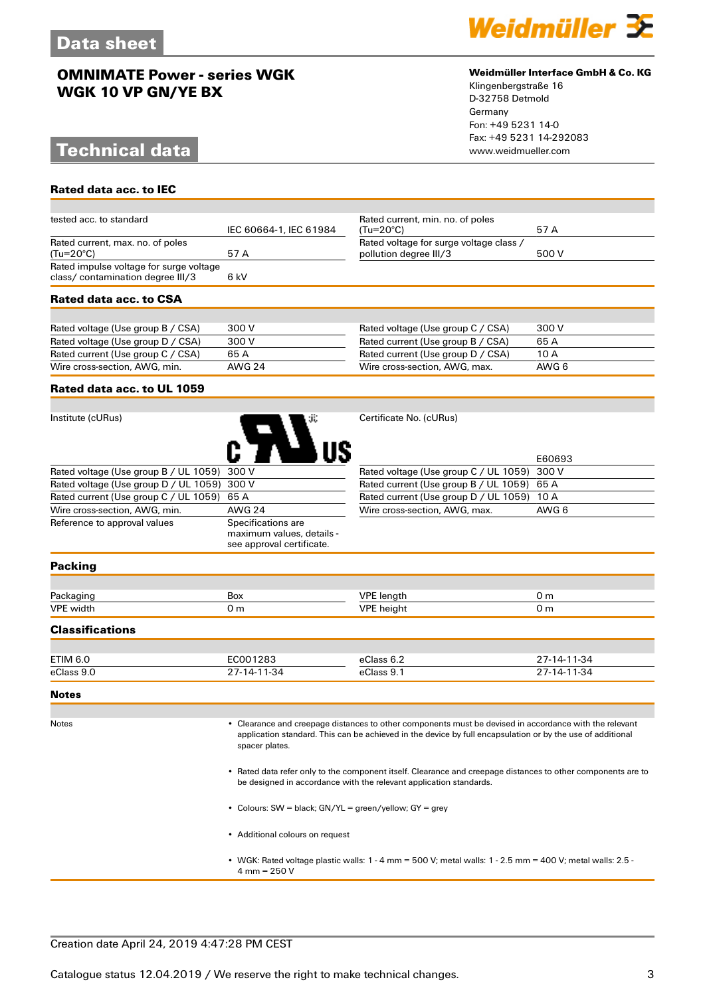# **Technical data www.weidmueller.com**

**Rated data acc. to IEC**



#### **Weidmüller Interface GmbH & Co. KG**

Klingenbergstraße 16 D-32758 Detmold Germany Fon: +49 5231 14-0 Fax: +49 5231 14-292083

| tested acc. to standard                  |                        | Rated current, min. no. of poles        |       |
|------------------------------------------|------------------------|-----------------------------------------|-------|
|                                          | IEC 60664-1, IEC 61984 | (Tu=20°C)                               | 57 A  |
| Rated current, max. no. of poles         |                        | Rated voltage for surge voltage class / |       |
| $(Tu=20^{\circ}C)$                       | 57 A                   | pollution degree III/3                  | 500 V |
| Rated impulse voltage for surge voltage  |                        |                                         |       |
| class/contamination degree III/3<br>6 kV |                        |                                         |       |
| Rated data acc. to CSA                   |                        |                                         |       |
|                                          |                        |                                         |       |
| Rated voltage (Use group B / CSA)        | 300 V                  | Rated voltage (Use group C / CSA)       | 300 V |
| Rated voltage (Use group D / CSA)        | 300 V                  | Rated current (Use group B / CSA)       | 65 A  |
| Rated current (Use group C / CSA)        | 65A                    | Rated current (Use group D / CSA)       | 10 A  |
| Wire cross-section, AWG, min.            | <b>AWG 24</b>          | Wire cross-section, AWG, max.           | AWG 6 |

#### **Rated data acc. to UL 1059**

| Institute (cURus)                           | зï.                | Certificate No. (cURus) |
|---------------------------------------------|--------------------|-------------------------|
| Rated voltage (Use group B / UL 1059) 300 V |                    | Rated voltage (Use gro  |
| Rated voltage (Use group D / UL 1059) 300 V |                    | Rated current (Use gro  |
| Rated current (Use group C / UL 1059)       | 65 A               | Rated current (Use gro  |
| Wire cross-section, AWG, min.               | <b>AWG 24</b>      | Wire cross-section, AV  |
| Reference to approval values                | Specifications are |                         |

maximum values, details see approval certificate.

|                                             | E60693 |
|---------------------------------------------|--------|
| Rated voltage (Use group C / UL 1059) 300 V |        |
| Rated current (Use group B / UL 1059) 65 A  |        |
| Rated current (Use group D / UL 1059) 10 A  |        |
| Wire cross-section, AWG, max.               | AWG 6  |

#### **Packing**

| Do o             | Box                    |                    |        |  |
|------------------|------------------------|--------------------|--------|--|
| <b>VPE width</b> | $\mathbf{r}$<br>$\sim$ | IDD<br>ما سمط<br>. | $\sim$ |  |
|                  |                        |                    |        |  |

#### **Classifications**

| <b>ETIM 6.0</b> | C001283            | eClass 6.2 | 27-14-11-34 |
|-----------------|--------------------|------------|-------------|
| eClass 9.0      | $7 - 14 - 11 - 34$ | eClass 9.  | 27-14-11-34 |

#### **Notes**

Notes • Clearance and creepage distances to other components must be devised in accordance with the relevant application standard. This can be achieved in the device by full encapsulation or by the use of additional spacer plates.

> • Rated data refer only to the component itself. Clearance and creepage distances to other components are to be designed in accordance with the relevant application standards.

- Colours: SW = black; GN/YL = green/yellow; GY = grey
- Additional colours on request
- WGK: Rated voltage plastic walls: 1 4 mm = 500 V; metal walls: 1 2.5 mm = 400 V; metal walls: 2.5 4 mm =  $250 V$

#### Creation date April 24, 2019 4:47:28 PM CEST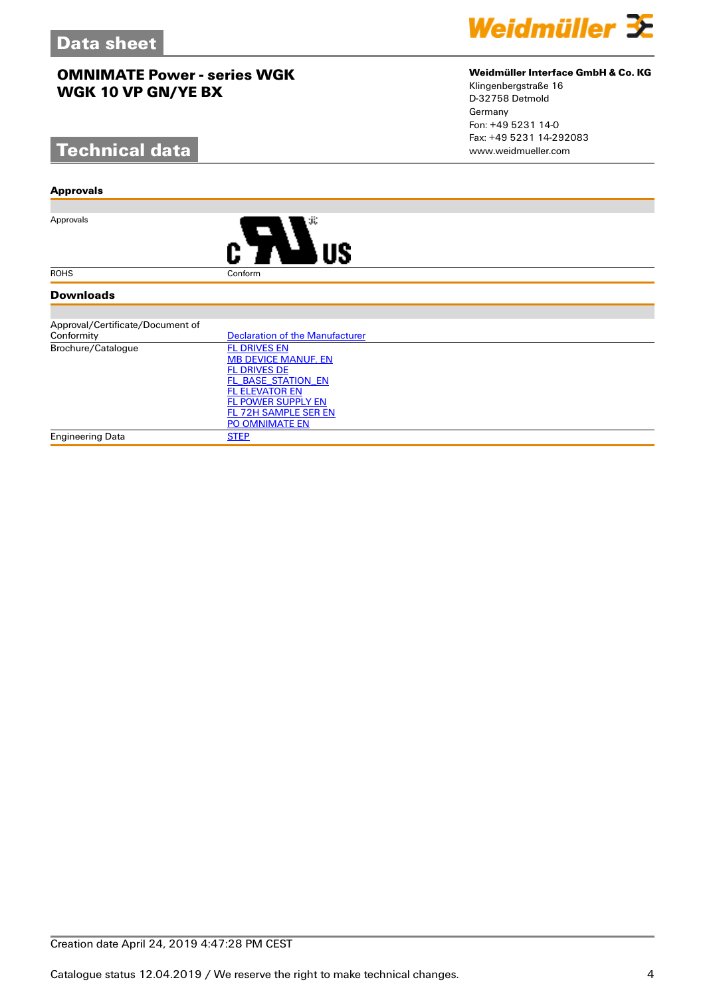# **Technical data**

#### **Approvals**

Approvals



#### **Downloads**

| Approval/Certificate/Document of |                                        |
|----------------------------------|----------------------------------------|
| Conformity                       | <b>Declaration of the Manufacturer</b> |
| Brochure/Catalogue               | <b>FL DRIVES EN</b>                    |
|                                  | <b>MB DEVICE MANUF. EN</b>             |
|                                  | <b>FL DRIVES DE</b>                    |
|                                  | FL BASE STATION EN                     |
|                                  | <b>FL ELEVATOR EN</b>                  |
|                                  | <b>FL POWER SUPPLY EN</b>              |
|                                  | FL 72H SAMPLE SER EN                   |
|                                  | <b>PO OMNIMATE EN</b>                  |
| Engineering Data                 | <b>STEP</b>                            |



#### **Weidmüller Interface GmbH & Co. KG**

Klingenbergstraße 16 D-32758 Detmold Germany Fon: +49 5231 14-0 Fax: +49 5231 14-292083